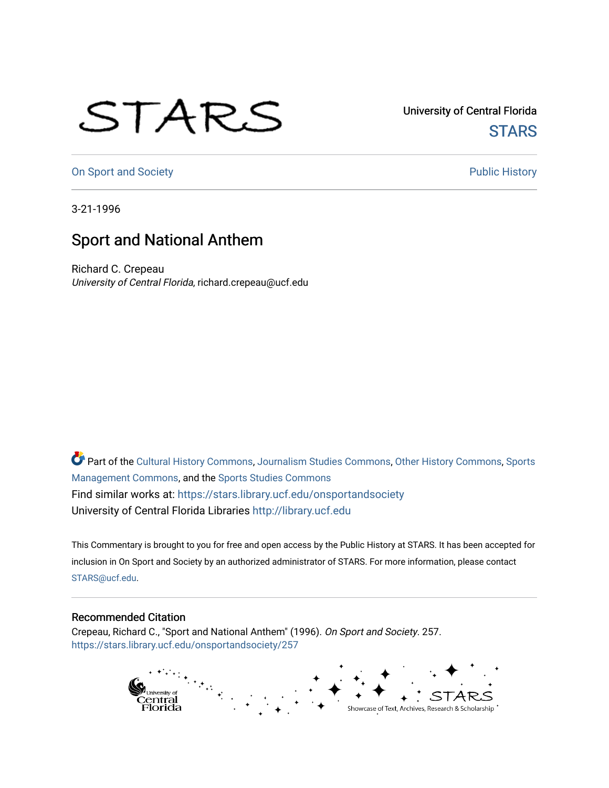## STARS

University of Central Florida **STARS** 

[On Sport and Society](https://stars.library.ucf.edu/onsportandsociety) **Public History** Public History

3-21-1996

## Sport and National Anthem

Richard C. Crepeau University of Central Florida, richard.crepeau@ucf.edu

Part of the [Cultural History Commons](http://network.bepress.com/hgg/discipline/496?utm_source=stars.library.ucf.edu%2Fonsportandsociety%2F257&utm_medium=PDF&utm_campaign=PDFCoverPages), [Journalism Studies Commons,](http://network.bepress.com/hgg/discipline/333?utm_source=stars.library.ucf.edu%2Fonsportandsociety%2F257&utm_medium=PDF&utm_campaign=PDFCoverPages) [Other History Commons,](http://network.bepress.com/hgg/discipline/508?utm_source=stars.library.ucf.edu%2Fonsportandsociety%2F257&utm_medium=PDF&utm_campaign=PDFCoverPages) [Sports](http://network.bepress.com/hgg/discipline/1193?utm_source=stars.library.ucf.edu%2Fonsportandsociety%2F257&utm_medium=PDF&utm_campaign=PDFCoverPages) [Management Commons](http://network.bepress.com/hgg/discipline/1193?utm_source=stars.library.ucf.edu%2Fonsportandsociety%2F257&utm_medium=PDF&utm_campaign=PDFCoverPages), and the [Sports Studies Commons](http://network.bepress.com/hgg/discipline/1198?utm_source=stars.library.ucf.edu%2Fonsportandsociety%2F257&utm_medium=PDF&utm_campaign=PDFCoverPages) Find similar works at: <https://stars.library.ucf.edu/onsportandsociety> University of Central Florida Libraries [http://library.ucf.edu](http://library.ucf.edu/) 

This Commentary is brought to you for free and open access by the Public History at STARS. It has been accepted for inclusion in On Sport and Society by an authorized administrator of STARS. For more information, please contact [STARS@ucf.edu](mailto:STARS@ucf.edu).

## Recommended Citation

Crepeau, Richard C., "Sport and National Anthem" (1996). On Sport and Society. 257. [https://stars.library.ucf.edu/onsportandsociety/257](https://stars.library.ucf.edu/onsportandsociety/257?utm_source=stars.library.ucf.edu%2Fonsportandsociety%2F257&utm_medium=PDF&utm_campaign=PDFCoverPages)

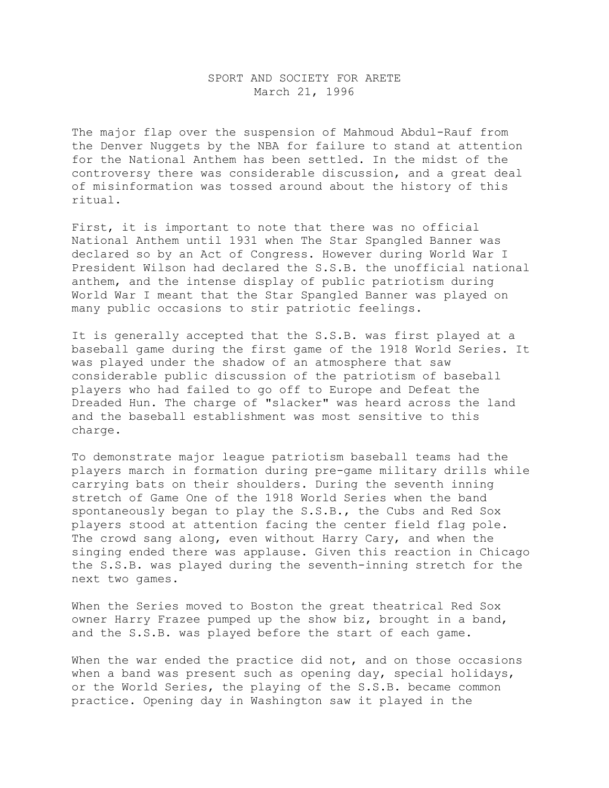## SPORT AND SOCIETY FOR ARETE March 21, 1996

The major flap over the suspension of Mahmoud Abdul-Rauf from the Denver Nuggets by the NBA for failure to stand at attention for the National Anthem has been settled. In the midst of the controversy there was considerable discussion, and a great deal of misinformation was tossed around about the history of this ritual.

First, it is important to note that there was no official National Anthem until 1931 when The Star Spangled Banner was declared so by an Act of Congress. However during World War I President Wilson had declared the S.S.B. the unofficial national anthem, and the intense display of public patriotism during World War I meant that the Star Spangled Banner was played on many public occasions to stir patriotic feelings.

It is generally accepted that the S.S.B. was first played at a baseball game during the first game of the 1918 World Series. It was played under the shadow of an atmosphere that saw considerable public discussion of the patriotism of baseball players who had failed to go off to Europe and Defeat the Dreaded Hun. The charge of "slacker" was heard across the land and the baseball establishment was most sensitive to this charge.

To demonstrate major league patriotism baseball teams had the players march in formation during pre-game military drills while carrying bats on their shoulders. During the seventh inning stretch of Game One of the 1918 World Series when the band spontaneously began to play the S.S.B., the Cubs and Red Sox players stood at attention facing the center field flag pole. The crowd sang along, even without Harry Cary, and when the singing ended there was applause. Given this reaction in Chicago the S.S.B. was played during the seventh-inning stretch for the next two games.

When the Series moved to Boston the great theatrical Red Sox owner Harry Frazee pumped up the show biz, brought in a band, and the S.S.B. was played before the start of each game.

When the war ended the practice did not, and on those occasions when a band was present such as opening day, special holidays, or the World Series, the playing of the S.S.B. became common practice. Opening day in Washington saw it played in the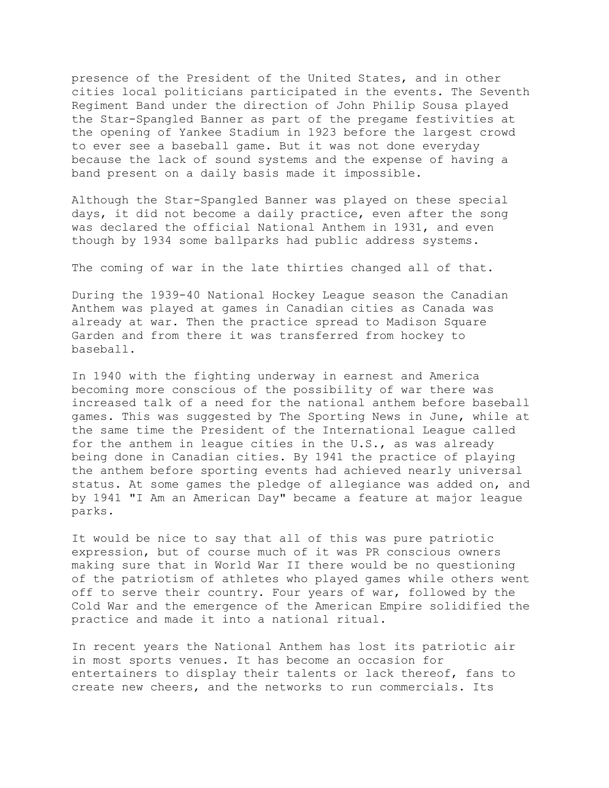presence of the President of the United States, and in other cities local politicians participated in the events. The Seventh Regiment Band under the direction of John Philip Sousa played the Star-Spangled Banner as part of the pregame festivities at the opening of Yankee Stadium in 1923 before the largest crowd to ever see a baseball game. But it was not done everyday because the lack of sound systems and the expense of having a band present on a daily basis made it impossible.

Although the Star-Spangled Banner was played on these special days, it did not become a daily practice, even after the song was declared the official National Anthem in 1931, and even though by 1934 some ballparks had public address systems.

The coming of war in the late thirties changed all of that.

During the 1939-40 National Hockey League season the Canadian Anthem was played at games in Canadian cities as Canada was already at war. Then the practice spread to Madison Square Garden and from there it was transferred from hockey to baseball.

In 1940 with the fighting underway in earnest and America becoming more conscious of the possibility of war there was increased talk of a need for the national anthem before baseball games. This was suggested by The Sporting News in June, while at the same time the President of the International League called for the anthem in league cities in the U.S., as was already being done in Canadian cities. By 1941 the practice of playing the anthem before sporting events had achieved nearly universal status. At some games the pledge of allegiance was added on, and by 1941 "I Am an American Day" became a feature at major league parks.

It would be nice to say that all of this was pure patriotic expression, but of course much of it was PR conscious owners making sure that in World War II there would be no questioning of the patriotism of athletes who played games while others went off to serve their country. Four years of war, followed by the Cold War and the emergence of the American Empire solidified the practice and made it into a national ritual.

In recent years the National Anthem has lost its patriotic air in most sports venues. It has become an occasion for entertainers to display their talents or lack thereof, fans to create new cheers, and the networks to run commercials. Its